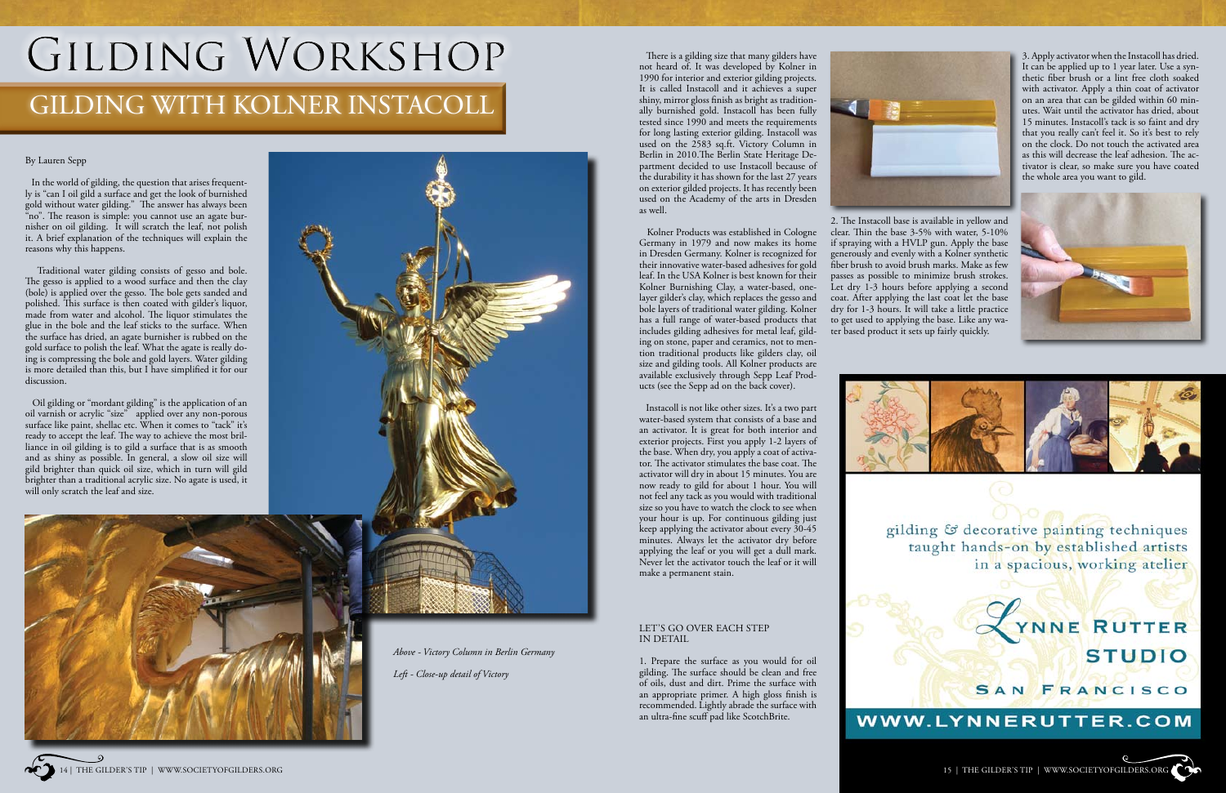

#### By Lauren Sepp

 In the world of gilding, the question that arises frequently is "can I oil gild a surface and get the look of burnished gold without water gilding." The answer has always been "no". The reason is simple: you cannot use an agate burnisher on oil gilding. It will scratch the leaf, not polish it. A brief explanation of the techniques will explain the reasons why this happens.

 Oil gilding or "mordant gilding" is the application of an oil varnish or acrylic "size" applied over any non-porous surface like paint, shellac etc. When it comes to "tack" it's ready to accept the leaf. The way to achieve the most brilliance in oil gilding is to gild a surface that is as smooth and as shiny as possible. In general, a slow oil size will gild brighter than quick oil size, which in turn will gild brighter than a traditional acrylic size. No agate is used, it will only scratch the leaf and size.



 Traditional water gilding consists of gesso and bole. The gesso is applied to a wood surface and then the clay (bole) is applied over the gesso. The bole gets sanded and polished. This surface is then coated with gilder's liquor, made from water and alcohol. The liquor stimulates the glue in the bole and the leaf sticks to the surface. When the surface has dried, an agate burnisher is rubbed on the gold surface to polish the leaf. What the agate is really doing is compressing the bole and gold layers. Water gilding is more detailed than this, but I have simplified it for our discussion.

# GILDING WORKSHOP

## GILDING WITH KOLNER INSTACOLL

 There is a gilding size that many gilders have not heard of. It was developed by Kolner in 1990 for interior and exterior gilding projects. It is called Instacoll and it achieves a super shiny, mirror gloss finish as bright as traditionally burnished gold. Instacoll has been fully tested since 1990 and meets the requirements for long lasting exterior gilding. Instacoll was used on the 2583 sq.ft. Victory Column in Berlin in 2010.The Berlin State Heritage Department decided to use Instacoll because of the durability it has shown for the last 27 years on exterior gilded projects. It has recently been used on the Academy of the arts in Dresden as well.

 Kolner Products was established in Cologne Germany in 1979 and now makes its home in Dresden Germany. Kolner is recognized for their innovative water-based adhesives for gold leaf. In the USA Kolner is best known for their Kolner Burnishing Clay, a water-based, onelayer gilder's clay, which replaces the gesso and bole layers of traditional water gilding. Kolner has a full range of water-based products that includes gilding adhesives for metal leaf, gilding on stone, paper and ceramics, not to mention traditional products like gilders clay, oil size and gilding tools. All Kolner products are available exclusively through Sepp Leaf Products (see the Sepp ad on the back cover).

 Instacoll is not like other sizes. It's a two part water-based system that consists of a base and an activator. It is great for both interior and exterior projects. First you apply 1-2 layers of the base. When dry, you apply a coat of activator. The activator stimulates the base coat. The activator will dry in about 15 minutes. You are now ready to gild for about 1 hour. You will not feel any tack as you would with traditional size so you have to watch the clock to see when your hour is up. For continuous gilding just keep applying the activator about every 30-45 minutes. Always let the activator dry before applying the leaf or you will get a dull mark. Never let the activator touch the leaf or it will make a permanent stain.

#### LET'S GO OVER EACH STEP IN DETAIL

1. Prepare the surface as you would for oil gilding. The surface should be clean and free of oils, dust and dirt. Prime the surface with an appropriate primer. A high gloss finish is recommended. Lightly abrade the surface with an ultra-fine scuff pad like ScotchBrite.



2. The Instacoll base is available in yellow and clear. Thin the base 3-5% with water, 5-10% if spraying with a HVLP gun. Apply the base generously and evenly with a Kolner synthetic fiber brush to avoid brush marks. Make as few passes as possible to minimize brush strokes. Let dry 1-3 hours before applying a second coat. After applying the last coat let the base dry for 1-3 hours. It will take a little practice to get used to applying the base. Like any water based product it sets up fairly quickly.





3. Apply activator when the Instacoll has dried. It can be applied up to 1 year later. Use a synthetic fiber brush or a lint free cloth soaked with activator. Apply a thin coat of activator on an area that can be gilded within 60 minutes. Wait until the activator has dried, about 15 minutes. Instacoll's tack is so faint and dry that you really can't feel it. So it's best to rely on the clock. Do not touch the activated area as this will decrease the leaf adhesion. The activator is clear, so make sure you have coated the whole area you want to gild.





gilding & decorative painting techniques taught hands-on by established artists in a spacious, working atelier





*Above - Victory Column in Berlin Germany Left - Close-up detail of Victory*